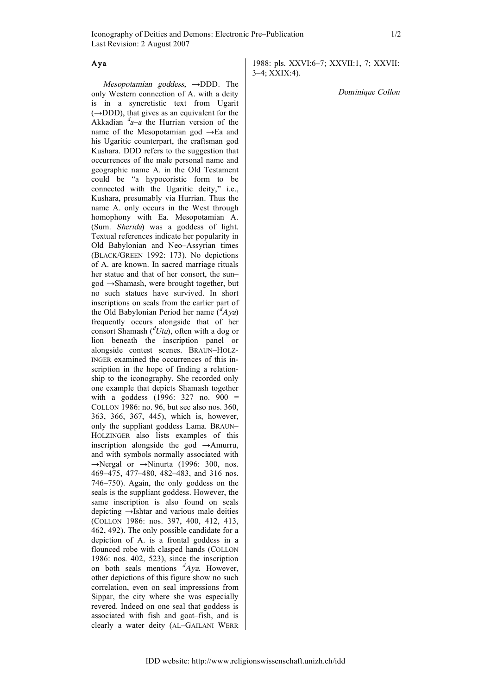## Aya

Mesopotamian goddess,  $\rightarrow$ DDD. The only Western connection of A. with a deity is in a syncretistic text from Ugarit  $(\rightarrow$ DDD), that gives as an equivalent for the Akkadian  $a^d$ -a the Hurrian version of the name of the Mesopotamian god →Ea and his Ugaritic counterpart, the craftsman god Kushara. DDD refers to the suggestion that occurrences of the male personal name and geographic name A. in the Old Testament could be "a hypocoristic form to be connected with the Ugaritic deity," i.e., Kushara, presumably via Hurrian. Thus the name A. only occurs in the West through homophony with Ea. Mesopotamian A. (Sum. Sherida) was a goddess of light. Textual references indicate her popularity in Old Babylonian and Neo–Assyrian times (BLACK/GREEN 1992: 173). No depictions of A. are known. In sacred marriage rituals her statue and that of her consort, the sun– god →Shamash, were brought together, but no such statues have survived. In short inscriptions on seals from the earlier part of the Old Babylonian Period her name  $({}^{d}Aya)$ frequently occurs alongside that of her consort Shamash  $({}^{d}Utu)$ , often with a dog or lion beneath the inscription panel or alongside contest scenes. BRAUN–HOLZ-INGER examined the occurrences of this inscription in the hope of finding a relationship to the iconography. She recorded only one example that depicts Shamash together with a goddess (1996: 327 no. 900 = COLLON 1986: no. 96, but see also nos. 360, 363, 366, 367, 445), which is, however, only the suppliant goddess Lama. BRAUN– HOLZINGER also lists examples of this inscription alongside the god  $\rightarrow$ Amurru, and with symbols normally associated with →Nergal or →Ninurta (1996: 300, nos. 469–475, 477–480, 482–483, and 316 nos. 746–750). Again, the only goddess on the seals is the suppliant goddess. However, the same inscription is also found on seals depicting →Ishtar and various male deities (COLLON 1986: nos. 397, 400, 412, 413, 462, 492). The only possible candidate for a depiction of A. is a frontal goddess in a flounced robe with clasped hands (COLLON 1986: nos. 402, 523), since the inscription on both seals mentions  $^d$ Aya. However, other depictions of this figure show no such correlation, even on seal impressions from Sippar, the city where she was especially revered. Indeed on one seal that goddess is associated with fish and goat–fish, and is clearly a water deity (AL–GAILANI WERR

1988: pls. XXVI:6–7; XXVII:1, 7; XXVII: 3–4; XXIX:4).

Dominique Collon